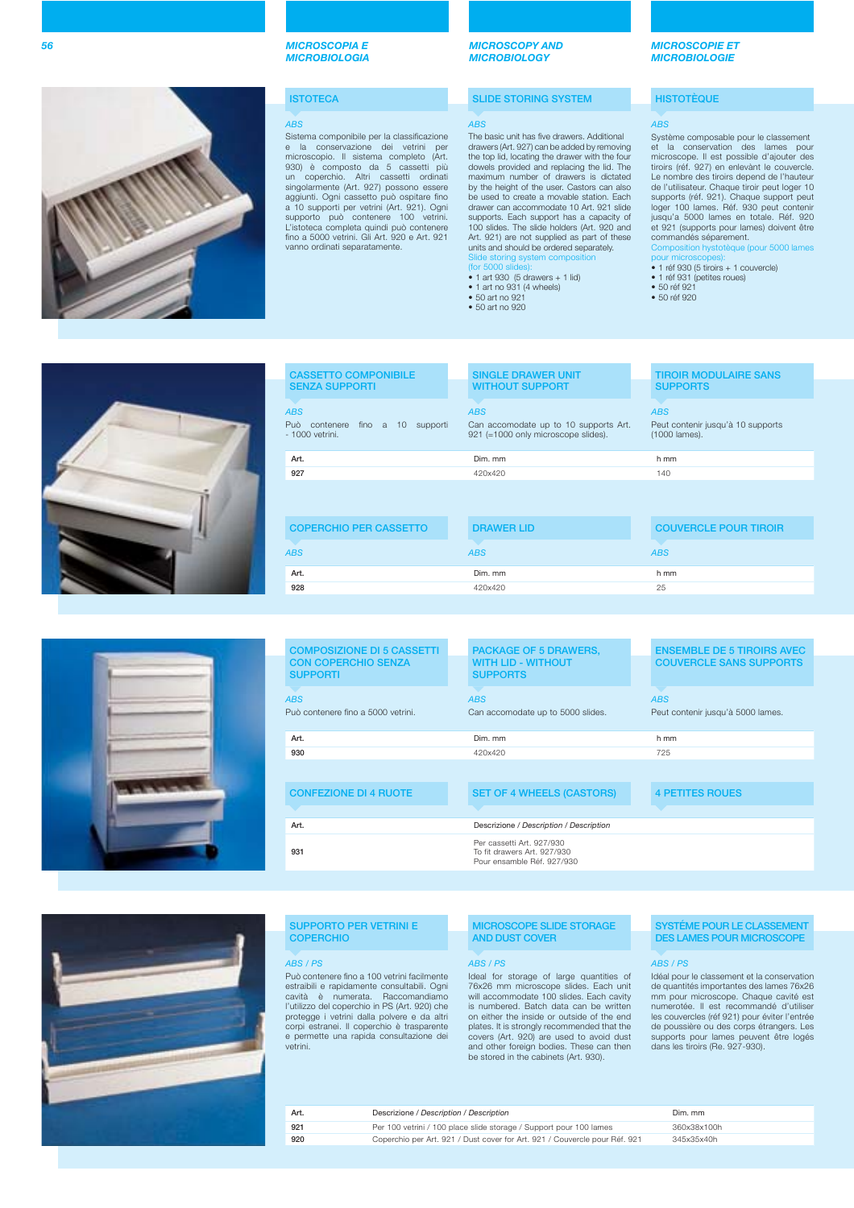

### **ISTOTECA**

### ABS

Sistema componibile per la classificazione e la conservazione dei vetrini per<br>microscopio. Il sistema completo (Art.<br>930) è composto da 5 cassetti più<br>un coperchio. Altri cassetti ordinati<br>singolarmente (Art. 927) possono essere<br>aggiunti. Ogni cassetto può ospitare supporto può contenere 100 vetrini L'istoteca completa quindi può contenere fi no a 5000 vetrini. Gli Art. 920 e Art. 921 vanno ordinati separatamente.

*MICROSCOPY AND MICROBIOLOGY*

### **SLIDE STORING SYSTEM**

### ABS

The basic unit has five drawers. Additional drawers (Art. 927) can be added by removing the top lid, locating the drawer with the four dowels provided and replacing the lid. The maximum number of drawers is dictated by the height of the user. Castors can also be used to create a movable station. Each drawer can accommodate 10 Art. 921 slide supports. Each support has a capacity of 100 slides. The slide holders (Art. 920 and Art. 921) are not supplied as part of these units and should be ordered separately. Slide storing system composition

- 
- (for 5000 slides): 1 art 930 (5 drawers + 1 lid) 1 art no 931 (4 wheels)
- 50 art no 921

• 50 art no 920

### *MICROSCOPIE ET MICROBIOLOGIE*

### **HISTOTÈQUE**

### ABS

Système composable pour le classement et la conservation des lames pour microscope. Il est possible d'ajouter des tiroirs (réf. 927) en enlevànt le couvercle. Le nombre des tiroirs depend de l'hauteur de l'utilisateur. Chaque tiroir peut loger 10 supports (réf. 921). Chaque support peut loger 100 lames. Réf. 930 peut contenir jusqu'a 5000 lames en totale. Réf. 920 et 921 (supports pour lames) doivent être commandés séparement.

Composition hystotèque (pour 5000 lames

- pour microscopes): 1 réf 930 (5 tiroirs + 1 couvercle) 1 réf 931 (petites roues)
- 50 réf 921
- 50 réf 920



| <b>CASSETTO COMPONIBILE</b><br><b>SENZA SUPPORTI</b>                         | <b>SINGLE DRAWER UNIT</b><br><b>WITHOUT SUPPORT</b>                                        | <b>TIROIR MODULAIRE SANS</b><br><b>SUPPORTS</b>                  |
|------------------------------------------------------------------------------|--------------------------------------------------------------------------------------------|------------------------------------------------------------------|
| <b>ABS</b><br>Può<br>fino $a$ 10<br>supporti<br>contenere<br>- 1000 vetrini. | <b>ABS</b><br>Can accomodate up to 10 supports Art.<br>921 (=1000 only microscope slides). | <b>ABS</b><br>Peut contenir jusqu'à 10 supports<br>(1000 lames). |
| Art.                                                                         | Dim. mm                                                                                    | h mm                                                             |
| 927                                                                          | 420x420                                                                                    | 140                                                              |
|                                                                              |                                                                                            |                                                                  |
| <b>COPERCHIO PER CASSETTO</b>                                                | <b>DRAWER LID</b>                                                                          | <b>COUVERCLE POUR TIROIR</b>                                     |
| <b>ABS</b>                                                                   | <b>ABS</b>                                                                                 | <b>ABS</b>                                                       |
| Art.                                                                         | Dim. mm                                                                                    | h mm                                                             |
| 928                                                                          | 420x420                                                                                    | 25                                                               |
|                                                                              |                                                                                            |                                                                  |



| <b>COMPOSIZIONE DI 5 CASSETTI</b>             | <b>PACKAGE OF 5 DRAWERS,</b>                                                           | <b>ENSEMBLE DE 5 TIROIRS AVEC</b> |
|-----------------------------------------------|----------------------------------------------------------------------------------------|-----------------------------------|
| <b>CON COPERCHIO SENZA</b><br><b>SUPPORTI</b> | <b>WITH LID - WITHOUT</b><br><b>SUPPORTS</b>                                           | <b>COUVERCLE SANS SUPPORTS</b>    |
| <b>ABS</b>                                    | <b>ABS</b>                                                                             | <b>ABS</b>                        |
| Può contenere fino a 5000 vetrini.            | Can accomodate up to 5000 slides.                                                      | Peut contenir jusqu'à 5000 lames. |
|                                               |                                                                                        |                                   |
| Art.                                          | Dim. mm                                                                                | h mm                              |
| 930                                           | 420x420                                                                                | 725                               |
|                                               |                                                                                        |                                   |
| <b>CONFEZIONE DI 4 RUOTE</b>                  | <b>SET OF 4 WHEELS (CASTORS)</b>                                                       | <b>4 PETITES ROUES</b>            |
|                                               |                                                                                        |                                   |
| Art.                                          | Descrizione / Description / Description                                                |                                   |
| 931                                           | Per cassetti Art. 927/930<br>To fit drawers Art, 927/930<br>Pour ensamble Réf. 927/930 |                                   |
|                                               |                                                                                        |                                   |



### **SUPPORTO PER VETRINI E COPERCHIO**

Può contenere fino a 100 vetrini facilmente<br>estraibili e rapidamente consultabili. Ogni cavità è numerata. Raccomandiamo l'utilizzo del coperchio in PS (Art. 920) che protegge i vetrini dalla polvere e da altri corpi estranei. Il coperchio è trasparente e permette una rapida consultazione dei vetrini.

### **MICROSCOPE SLIDE STORAGE AND DUST COVER**

Ideal for storage of large quantities of 76x26 mm microscope slides. Each unit will accommodate 100 slides. Each cavity is numbered. Batch data can be written on either the inside or outside of the end plates. It is strongly recommended that the covers (Art. 920) are used to avoid dust and other foreign bodies. These can then be stored in the cabinets (Art. 930).

# **SYSTÉME POUR LE CLASSEMENT DES LAMES POUR MICROSCOPE**

### ABS / PS ABS / PS ABS / PS

Idéal pour le classement et la conservation de quantités importantes des lames 76x26 mm pour microscope. Chaque cavité est numerotée. Il est recommandé d'utiliser les couvercles (réf 921) pour éviter l'entrée de poussière ou des corps étrangers. Les supports pour lames peuvent être logés dans les tiroirs (Re. 927-930).

| Art. | Descrizione / Description / Description                                    | Dim. mm |
|------|----------------------------------------------------------------------------|---------|
| 921  | Per 100 vetrini / 100 place slide storage / Support pour 100 lames         | 360x38x |
| 920  | Coperchio per Art, 921 / Dust cover for Art, 921 / Couvercle pour Réf. 921 | 345x35x |
|      |                                                                            |         |

**921** Per 100 vetrini / 100 place slide storage / Support pour 100 lames 360x38x100h **920** Coperchio per Art. 921 / Dust cover for Art. 921 / Couvercle pour Réf. 921 345x35x40h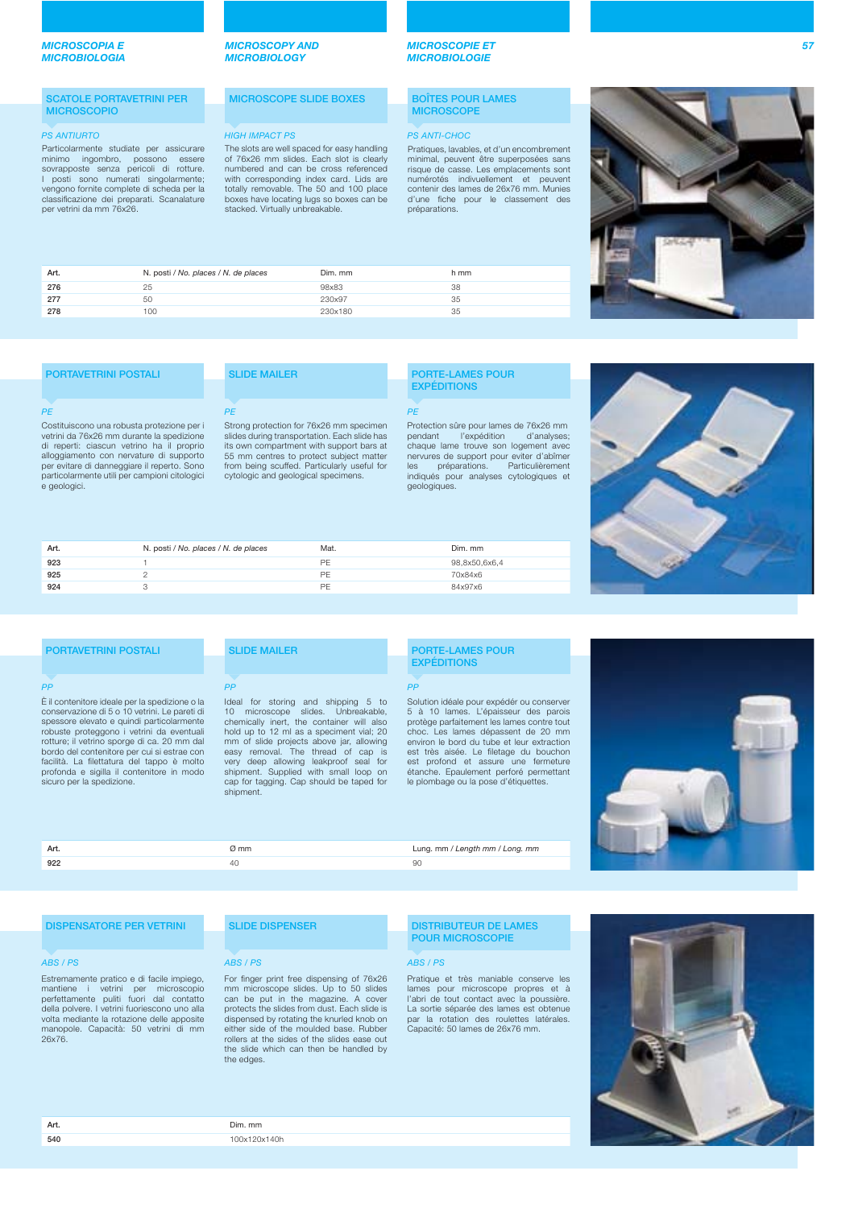### **SCATOLE PORTAVETRINI PER MICROSCOPIO**

e geologici.

Particolarmente studiate per assicurare minimo ingombro, possono essere sovrapposte senza pericoli di rotture. I posti sono numerati singolarmente; vengono fornite complete di scheda per la classificazione dei preparati. Scanalature per vetrini da mm 76x26.

### *MICROSCOPY AND MICROBIOLOGY*

*MICROBIOLOGIE*

### **MICROSCOPE SLIDE BOXES BOÎTES POUR LAMES MICROSCOPE**

*MICROSCOPIE ET* 

### **PS ANTIURTO HIGH IMPACT PS** PS ANTI-CHOC

Pratiques, lavables, et d'un encombrement minimal, peuvent être superposées sans risque de casse. Les emplacements sont numérotés indivuellement et peuvent contenir des lames de 26x76 mm. Munies d'une fiche pour le classement des préparations.



| Art. | N. posti / No. places / N. de places | Dim. mm | h mm |
|------|--------------------------------------|---------|------|
| 276  | 25                                   | 98x83   | 38   |
| 277  | 50                                   | 230x97  | 35   |
| 278  | 100                                  | 230x180 | 35   |
|      |                                      |         |      |

The slots are well spaced for easy handling of 76x26 mm slides. Each slot is clearly numbered and can be cross referenced with corresponding index card. Lids are totally removable. The 50 and 100 place boxes have locating lugs so boxes can be stacked. Virtually unbreakable.

| <b>PORTAVETRINI POSTALI</b>                                                                                                          | <b>SLIDE MAILER</b>                                                                                                                 |
|--------------------------------------------------------------------------------------------------------------------------------------|-------------------------------------------------------------------------------------------------------------------------------------|
|                                                                                                                                      |                                                                                                                                     |
|                                                                                                                                      |                                                                                                                                     |
| PF                                                                                                                                   | <b>PF</b>                                                                                                                           |
| Costituiscono una robusta protezione per i<br>vetrini da 76x26 mm durante la spedizione<br>di reperti: ciascun vetrino ha il proprio | Strong protection for 76x26 mm specimen<br>slides during transportation. Each slide has<br>its own compartment with support bars at |
| alloggiamento con nervature di supporto<br>per evitare di danneggiare il reperto. Sono                                               | 55 mm centres to protect subject matter<br>from being scuffed. Particularly useful for                                              |
| particolarmente utili per campioni citologici                                                                                        | cytologic and geological specimens.                                                                                                 |

### **PORTE-LAMES POUR EXPÉDITIONS**

### **PF**

Protection sûre pour lames de 76x26 mm pendant l'expédition d'analyses; chaque lame trouve son logement avec nervures de support pour eviter d'abîmer les préparations. Particulièrement indiqués pour analyses cytologiques et geologiques.



| 923<br>PF<br>98.8x50.6x6.4<br>925<br>PF<br>70x84x6 | Art. | N. posti / No. places / N. de places | Mat. | Dim. mm |
|----------------------------------------------------|------|--------------------------------------|------|---------|
|                                                    |      |                                      |      |         |
|                                                    |      |                                      |      |         |
|                                                    | 924  |                                      | PF   | 84x97x6 |

| <b>PORTAVETRINI POSTALI</b>                                                                                                                                                                                                                                                                                                                                                                                     | <b>SLIDE MAILER</b>                                                                                                                                                                                                                                                                                                                                                                                             | <b>PORTE-LAMES POUR</b><br><b>EXPÉDITIONS</b>                                                                                                                                                                                                                                                                                                                                          |
|-----------------------------------------------------------------------------------------------------------------------------------------------------------------------------------------------------------------------------------------------------------------------------------------------------------------------------------------------------------------------------------------------------------------|-----------------------------------------------------------------------------------------------------------------------------------------------------------------------------------------------------------------------------------------------------------------------------------------------------------------------------------------------------------------------------------------------------------------|----------------------------------------------------------------------------------------------------------------------------------------------------------------------------------------------------------------------------------------------------------------------------------------------------------------------------------------------------------------------------------------|
| PP                                                                                                                                                                                                                                                                                                                                                                                                              | PP                                                                                                                                                                                                                                                                                                                                                                                                              | PP                                                                                                                                                                                                                                                                                                                                                                                     |
| È il contenitore ideale per la spedizione o la<br>conservazione di 5 o 10 vetrini. Le pareti di<br>spessore elevato e quindi particolarmente<br>robuste proteggono i vetrini da eventuali<br>rotture; il vetrino sporge di ca. 20 mm dal<br>bordo del contenitore per cui si estrae con<br>facilità. La filettatura del tappo è molto<br>profonda e sigilla il contenitore in modo<br>sicuro per la spedizione. | Ideal for storing and shipping 5 to<br>microscope slides. Unbreakable,<br>10 <sup>1</sup><br>chemically inert, the container will also<br>hold up to 12 ml as a speciment vial; 20<br>mm of slide projects above jar, allowing<br>easy removal. The thread of cap is<br>very deep allowing leakproof seal for<br>shipment. Supplied with small loop on<br>cap for tagging. Cap should be taped for<br>shipment. | Solution idéale pour expédér ou conserver<br>5 à 10 lames. L'épaisseur des parois<br>protège parfaitement les lames contre tout<br>choc. Les lames dépassent de 20 mm<br>environ le bord du tube et leur extraction<br>est très aisée. Le filetage du bouchon<br>est profond et assure une fermeture<br>étanche. Epaulement perforé permettant<br>le plombage ou la pose d'étiquettes. |



**Art. a Art.** *Marting the Community of the Community of the Community of the Community of the Community of the Community of the Community of the Community of the Community of the Community of the Community of the Com* **922** 40 90

### **DISPENSATORE PER VETRINI**

Estremamente pratico e di facile impiego, mantiene i vetrini per microscopio perfettamente puliti fuori dal contatto della polvere. I vetrini fuoriescono uno alla volta mediante la rotazione delle apposite manopole. Capacità: 50 vetrini di mm 26x76.

# **SLIDE DISPENSER**

### ABS / PS ABS / PS ABS / PS

For finger print free dispensing of 76x26 mm microscope slides. Up to 50 slides can be put in the magazine. A cover protects the slides from dust. Each slide is dispensed by rotating the knurled knob on either side of the moulded base. Rubber rollers at the sides of the slides ease out the slide which can then be handled by the edges.

### **DISTRIBUTEUR DE LAMES POUR MICROSCOPIE**

Pratique et très maniable conserve les lames pour microscope propres et à l'abri de tout contact avec la poussière. La sortie séparée des lames est obtenue par la rotation des roulettes latérales. Capacité: 50 lames de 26x76 mm.



**Art.** Dim. mm **540** 100x120x140h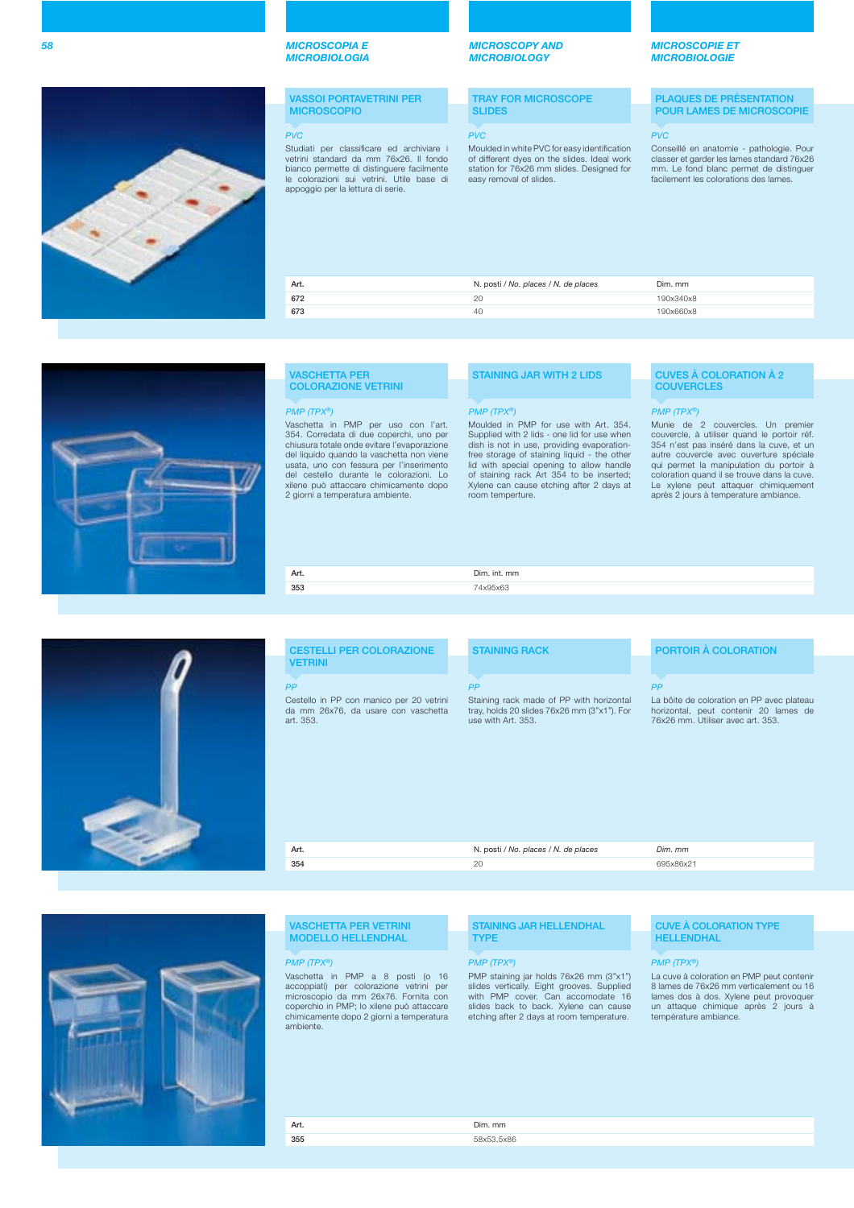### **VASSOI PORTAVETRINI PER MICROSCOPIO**

Studiati per classificare ed archiviare i vetrini standard da mm 76x26. Il fondo bianco permette di distinguere facilmente le colorazioni sui vetrini. Utile base di appoggio per la lettura di serie.

### *MICROSCOPY AND MICROBIOLOGY*

**TRAY FOR MICROSCOPE SLIDES**

### PVC PVC PVC

Moulded in white PVC for easy identification of different dyes on the slides. Ideal work station for 76x26 mm slides. Designed for easy removal of slides.

### *MICROSCOPIE ET MICROBIOLOGIE*

**PLAQUES DE PRÉSENTATION POUR LAMES DE MICROSCOPIE**

Conseillé en anatomie - pathologie. Pour classer et garder les lames standard 76x26 mm. Le fond blanc permet de distinguer facilement les colorations des lames.

| Art. | N. posti / No. places / N. de places | Dim. mm   |
|------|--------------------------------------|-----------|
| 672  | 20                                   | 190x340x8 |
| 673  | 40                                   | 190x660x8 |

### Vaschetta in PMP per uso con l'art. 354. Corredata di due coperchi, uno per **VASCHETTA PER COLORAZIONE VETRINI** PMP (TPX®) PMP (TPX®) PMP (TPX®)

**Art.** Dim. int. mm<br>353 74x95x63

chiusura totale onde evitare l'evaporazione del liquido quando la vaschetta non viene usata, uno con fessura per l'inserimento del cestello durante le colorazioni. xilene può attaccare chimicamente dopo 2 giorni a temperatura ambiente.

### **STAINING JAR WITH 2 LIDS**

**353** 74x95x63

Moulded in PMP for use with Art. 354. Supplied with 2 lids - one lid for use when dish is not in use, providing evaporation-free storage of staining liquid - the other lid with special opening to allow handle of staining rack Art 354 to be inserted; Xylene can cause etching after 2 days at room temperture.

### **CUVES À COLORATION À 2 COUVERCLES**

Munie de 2 couvercles. Un premier couvercle, à utiliser quand le portoir réf. 354 n'est pas inséré dans la cuve, et un autre couvercle avec ouverture spéciale qui permet la manipulation du portoir à coloration quand il se trouve dans la cuve. Le xylene peut attaquer chimiquement après 2 jours à temperature ambiance.

# **CESTELLI PER COLORAZIONE VETRINI** art. 353.

| <b>CESTELLI PER COLORAZIONE</b>                                                              | <b>STAINING RACK</b>                                                                                          | <b>PORTOIR A COLORATION</b>                                                                                             |  |
|----------------------------------------------------------------------------------------------|---------------------------------------------------------------------------------------------------------------|-------------------------------------------------------------------------------------------------------------------------|--|
| <b>VETRINI</b>                                                                               |                                                                                                               |                                                                                                                         |  |
|                                                                                              |                                                                                                               |                                                                                                                         |  |
| PP                                                                                           | <b>PP</b>                                                                                                     | РP                                                                                                                      |  |
| Cestello in PP con manico per 20 vetrini<br>da mm 26x76, da usare con vaschetta<br>art. 353. | Staining rack made of PP with horizontal<br>tray, holds 20 slides 76x26 mm (3"x1"). For<br>use with Art. 353. | La bôite de coloration en PP avec plateau<br>horizontal, peut contenir 20 lames de<br>76x26 mm. Utiliser avec art. 353. |  |
|                                                                                              |                                                                                                               |                                                                                                                         |  |
|                                                                                              |                                                                                                               |                                                                                                                         |  |

| Art. | N. posti / No. places / N. de places | Dim. mm   |
|------|--------------------------------------|-----------|
| 354  | 20                                   | 695x86x21 |
|      |                                      |           |

### **VASCHETTA PER VETRINI MODELLO HELLENDHAL**

Vaschetta in PMP a 8 posti (o 16 accoppiati) per colorazione vetrini per microscopio da mm 26x76. Fornita con coperchio in PMP; lo xilene può attaccare chimicamente dopo 2 giorni a temperatura ambiente

**Art.** Dim. mm **355** 58x53,5x86

### **STAINING JAR HELLENDHAL TYPE**

### PMP (TPX®) PMP (TPX®) PMP (TPX®)

PMP staining jar holds 76x26 mm (3"x1") slides vertically. Eight grooves. Supplied with PMP cover. Can accomodate 16 slides back to back. Xylene can cause etching after 2 days at room temperature.

### **CUVE À COLORATION TYPE HELLENDHAL**

La cuve à coloration en PMP peut contenir 8 lames de 76x26 mm verticalement ou 16 lames dos à dos. Xylene peut provoquer un attaque chimique après 2 jours à température ambiance.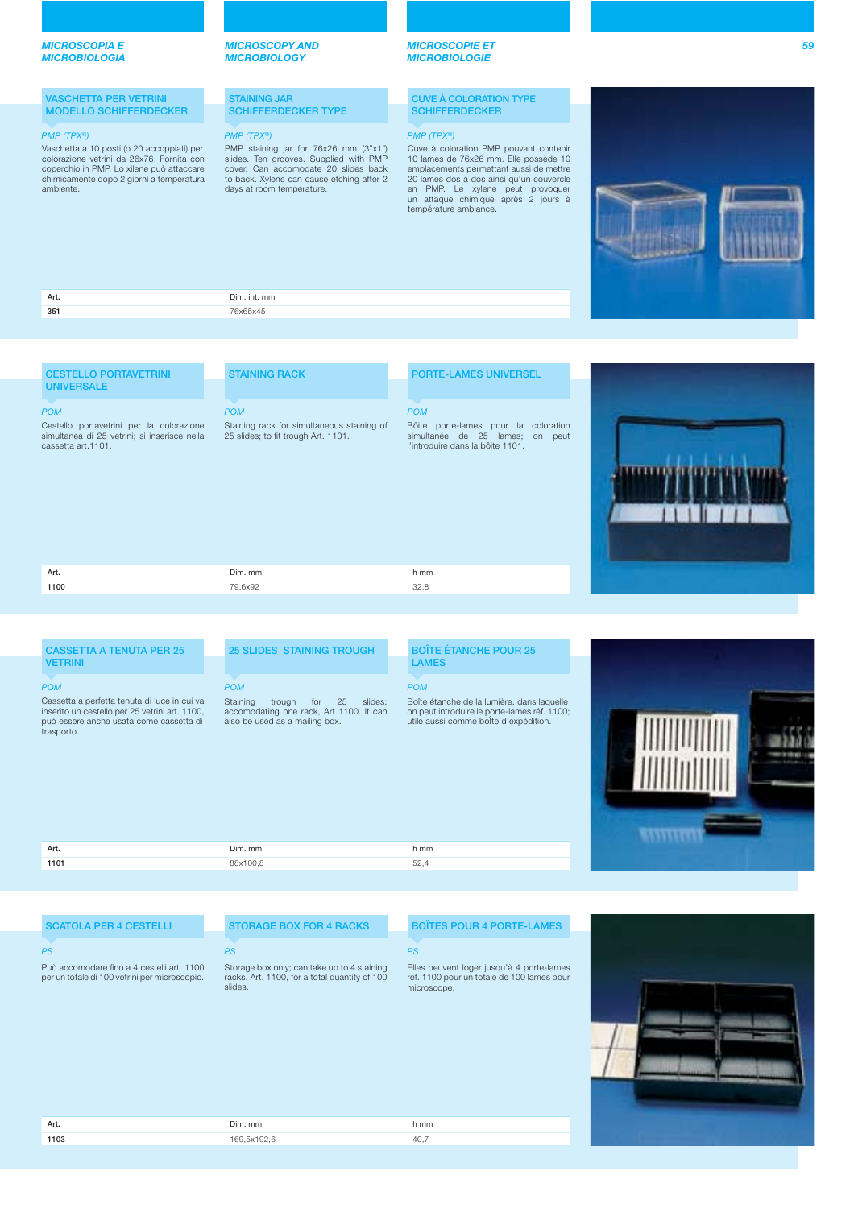### **VASCHETTA PER VETRINI MODELLO SCHIFFERDECKER**

Vaschetta a 10 posti (o 20 accoppiati) per colorazione vetrini da 26x76. Fornita con coperchio in PMP. Lo xilene può attaccare chimicamente dopo 2 giorni a temperatura ambiente.

### *MICROSCOPY AND MICROBIOLOGY*

### **STAINING JAR SCHIFFERDECKER TYPE**

### PMP (TPX®) PMP (TPX®) PMP (TPX®)

PMP staining jar for 76x26 mm (3"x1") slides. Ten grooves. Supplied with PMP cover. Can accomodate 20 slides back to back. Xylene can cause etching after 2 days at room temperature.

### *MICROSCOPIE ET MICROBIOLOGIE*

### **CUVE À COLORATION TYPE SCHIFFERDECKER**

Cuve à coloration PMP pouvant contenir 10 lames de 76x26 mm. Elle possède 10 emplacements permettant aussi de mettre 20 lames dos à dos ainsi qu'un couvercle en PMP. Le xylene peut provoquer un attaque chimique après 2 jours à température ambiance.



| Art. | Dim. int. mm |
|------|--------------|
| 351  | 76x65x45     |
|      |              |
|      |              |

### **CESTELLO PORTAVETRINI UNIVERSALE**

Cestello portavetrini per la colorazione simultanea di 25 vetrini; si inserisce nella cassetta art.1101. POM

# **STAINING RACK**

POM

# Staining rack for simultaneous staining of<br>25 slides; to fit trough Art. 1101.

Bôite porte-lames pour la coloration simultanée de 25 lames; on peut l'introduire dans la bôite 1101.

**PORTE-LAMES UNIVERSEL**



| Dim. mm<br>Art.<br>h mm<br>1100<br>$\sim$ |         |  |
|-------------------------------------------|---------|--|
|                                           |         |  |
|                                           | 79.6x92 |  |

POM

### **CASSETTA A TENUTA PER 25 VETRINI** Cassetta a perfetta tenuta di luce in cui va inserito un cestello per 25 vetrini art. 1100, può essere anche usata come cassetta di trasporto. POM

### **25 SLIDES STAINING TROUGH**

Staining trough for 25 slides; accomodating one rack, Art 1100. It can POM

also be used as a mailing box.

### **BOÎTE ÉTANCHE POUR 25 LAMES**

### POM

Boîte étanche de la lumière, dans laquelle on peut introduire le porte-lames réf. 1100; utile aussi comme boÎte d'expédition.



| Art. | Dim. mm  | h mm       |  |
|------|----------|------------|--|
| 1101 | 88x100,8 | - -<br>JZ, |  |
|      |          |            |  |

### **SCATOLA PER 4 CESTELLI**

Può accomodare fino a 4 cestelli art. 1100 per un totale di 100 vetrini per microscopio.

## $PS$  . The contract of the contract of the contract of the contract of the contract of the contract of the contract of the contract of the contract of the contract of the contract of the contract of the contract of the con

slides.

**STORAGE BOX FOR 4 RACKS**

Storage box only; can take up to 4 staining racks. Art. 1100, for a total quantity of 100

# **BOÎTES POUR 4 PORTE-LAMES**

Elles peuvent loger jusqu'à 4 porte-lames réf. 1100 pour un totale de 100 lames pour microscope.

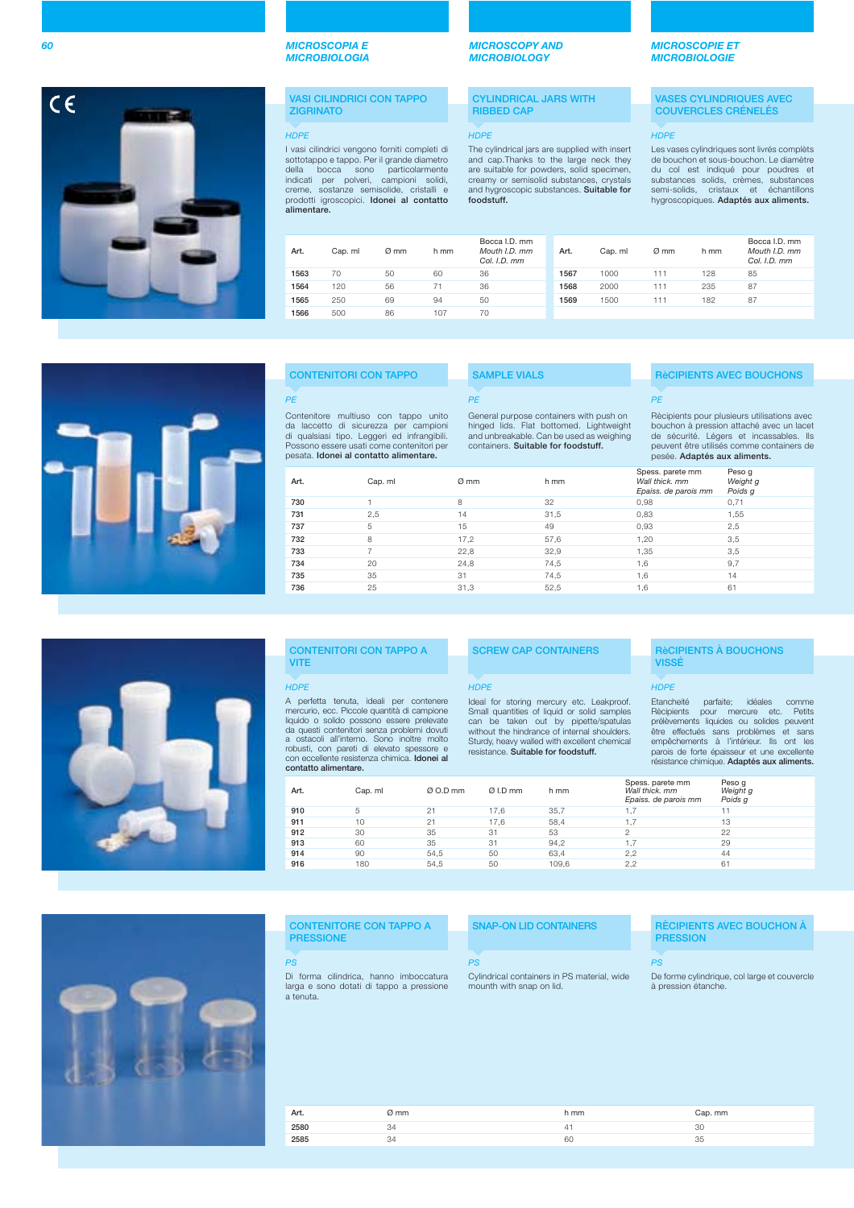

### **VASI CILINDRICI CON TAPPO ZIGRINATO**

I vasi cilindrici vengono forniti completi di sottotappo e tappo. Per il grande diametro della bocca sono particolarmente indicati per polveri, campioni solidi, creme, sostanze semisolide, cristalli e prodotti igroscopici. **Idonei al contatto alimentare.**

| Art. | Cap. ml | Ø mm | h mm | Bocca I.D. mm<br>Mouth I.D. mm<br>Col. I.D. mm | Art. | Cap. ml | $Ø$ mm | h mm | Bo<br>Mo<br>Сc |
|------|---------|------|------|------------------------------------------------|------|---------|--------|------|----------------|
| 1563 | 70      | 50   | 60   | 36                                             | 1567 | 1000    | 111    | 128  | 85             |
| 1564 | 120     | 56   | 71   | 36                                             | 1568 | 2000    | 111    | 235  | 87             |
| 1565 | 250     | 69   | 94   | 50                                             | 1569 | 1500    | 111    | 182  | 87             |
| 1566 | 500     | 86   | 107  | 70                                             |      |         |        |      |                |
|      |         |      |      |                                                |      |         |        |      |                |

**SAMPLE VIALS**

PE

### *MICROSCOPY AND MICROBIOLOGY*

**CYLINDRICAL JARS WITH RIBBED CAP**

### HDPE HDPE HDPE

The cylindrical jars are supplied with insert and cap.Thanks to the large neck they are suitable for powders, solid specimen, creamy or semisolid substances, crystals and hygroscopic substances. **Suitable for foodstuff.**

### *MICROSCOPIE ET MICROBIOLOGIE*

### **VASES CYLINDRIQUES AVEC COUVERCLES CRÉNELÉS**

Les vases cylindriques sont livrés complèts de bouchon et sous-bouchon. Le diamètre du col est indiqué pour poudres et substances solids, crèmes, substances semi-solids, cristaux et échantillons hygroscopiques. **Adaptés aux aliments.**

> Bocca I.D. mm Mouth I.D. mm Col. I.D. mm

|  | <b>CONTENITORI CON TAPPO</b> |  |
|--|------------------------------|--|
|  |                              |  |

### PE

Contenitore multiuso con tappo unito da laccetto di sicurezza per campioni di qualsiasi tipo. Leggeri ed infrangibili. Possono essere usati come contenitori per pesata. **Idonei al contatto alimentare.**

General purpose containers with push on hinged lids. Flat bottomed. Lightweight and unbreakable. Can be used as weighing containers. **Suitable for foodstuff.**

| Art. | Cap. ml                  | Ø mm | h mm | Spess. parete mm<br>Wall thick, mm<br>Epaiss, de parois mm | Peso q<br>Weight g<br>Poids g |
|------|--------------------------|------|------|------------------------------------------------------------|-------------------------------|
| 730  |                          | 8    | 32   | 0,98                                                       | 0,71                          |
| 731  | 2,5                      | 14   | 31,5 | 0.83                                                       | 1,55                          |
| 737  | 5                        | 15   | 49   | 0,93                                                       | 2,5                           |
| 732  | 8                        | 17,2 | 57,6 | 1,20                                                       | 3,5                           |
| 733  | $\overline{\phantom{a}}$ | 22,8 | 32,9 | 1,35                                                       | 3,5                           |
| 734  | 20                       | 24,8 | 74,5 | 1,6                                                        | 9,7                           |
| 735  | 35                       | 31   | 74,5 | 1,6                                                        | 14                            |
| 736  | 25                       | 31,3 | 52,5 | 1,6                                                        | 61                            |
|      |                          |      |      |                                                            |                               |

| ۲<br>ا<br>Hl<br>$\mathsf A$<br>me<br>liq<br>da<br>a<br>rol<br>$\frac{c}{c}$ |
|-----------------------------------------------------------------------------|
| l                                                                           |
|                                                                             |
| n n n n n n                                                                 |
|                                                                             |
|                                                                             |
|                                                                             |
|                                                                             |

|                                                                                                                                                                                                                                                                                                                                                       | <b>CONTENITORI CON TAPPO A</b> |          | <b>SCREW CAP CONTAINERS</b>                                                                                                                                                                                                                                             |       |                | <b>RèCIPIENTS A BOUC</b>                                                                                                                                                                  |                               |
|-------------------------------------------------------------------------------------------------------------------------------------------------------------------------------------------------------------------------------------------------------------------------------------------------------------------------------------------------------|--------------------------------|----------|-------------------------------------------------------------------------------------------------------------------------------------------------------------------------------------------------------------------------------------------------------------------------|-------|----------------|-------------------------------------------------------------------------------------------------------------------------------------------------------------------------------------------|-------------------------------|
| <b>VITE</b>                                                                                                                                                                                                                                                                                                                                           |                                |          |                                                                                                                                                                                                                                                                         |       |                | <b>VISSE</b>                                                                                                                                                                              |                               |
| <b>HDPE</b>                                                                                                                                                                                                                                                                                                                                           |                                |          | <b>HDPE</b>                                                                                                                                                                                                                                                             |       |                | <b>HDPE</b>                                                                                                                                                                               |                               |
| A perfetta tenuta, ideali per contenere<br>mercurio, ecc. Piccole quantità di campione<br>liquido o solido possono essere prelevate<br>da questi contenitori senza problemi dovuti<br>a ostacoli all'interno. Sono inoltre molto<br>robusti, con pareti di elevato spessore e<br>con eccellente resistenza chimica. Idonei al<br>contatto alimentare. |                                |          | Ideal for storing mercury etc. Leakproof.<br>Small quantities of liquid or solid samples<br>can be taken out by pipette/spatulas<br>without the hindrance of internal shoulders.<br>Sturdy, heavy walled with excellent chemical<br>resistance. Suitable for foodstuff. |       |                | Etancheité<br><b>Rècipients</b><br>pour<br>prélèvements liquides ou<br>être effectués sans prob<br>empêchements à l'intérie<br>parois de forte épaisseur e<br>résistance chimique. Adapte | id<br>parfaite;<br>mercur     |
| Art.                                                                                                                                                                                                                                                                                                                                                  | Cap. ml                        | Ø O.D mm | $Ø$ I.D mm                                                                                                                                                                                                                                                              | h mm  |                | Spess. parete mm<br>Wall thick, mm<br>Epaiss, de parois mm                                                                                                                                | Peso q<br>Weight g<br>Poids q |
| 910                                                                                                                                                                                                                                                                                                                                                   | 5                              | 21       | 17.6                                                                                                                                                                                                                                                                    | 35.7  | 1,7            |                                                                                                                                                                                           | 11                            |
| 911                                                                                                                                                                                                                                                                                                                                                   | 10                             | 21       | 17,6                                                                                                                                                                                                                                                                    | 58,4  | 1,7            |                                                                                                                                                                                           | 13                            |
| 912                                                                                                                                                                                                                                                                                                                                                   | 30                             | 35       | 31                                                                                                                                                                                                                                                                      | 53    | $\mathfrak{D}$ |                                                                                                                                                                                           | 22                            |
| 913                                                                                                                                                                                                                                                                                                                                                   | 60                             | 35       | 31                                                                                                                                                                                                                                                                      | 94.2  | 1,7            |                                                                                                                                                                                           | 29                            |
| 914                                                                                                                                                                                                                                                                                                                                                   | 90                             | 54,5     | 50                                                                                                                                                                                                                                                                      | 63,4  | 2,2            |                                                                                                                                                                                           | 44                            |
| 916                                                                                                                                                                                                                                                                                                                                                   | 180                            | 54.5     | 50                                                                                                                                                                                                                                                                      | 109.6 | 2,2            |                                                                                                                                                                                           | 61                            |



### **CONTENITORE CON TAPPO A PRESSIONE**

Di forma cilindrica, hanno imboccatura larga e sono dotati di tappo a pressione

a tenuta.

PS PS PS

Cylindrical containers in PS material, wide mounth with snap on lid.

### **RèCIPIENTS AVEC BOUCHONS** PE

Rècipients pour plusieurs utilisations avec bouchon à pression attaché avec un lacet de sécurité. Légers et incassables. Ils peuvent être utilisés comme containers de pesée. **Adaptés aux aliments.**

| Spess. parete mm<br>Wall thick, mm<br>Epaiss, de parois mm | Peso q<br>Weight g<br>Poids g |
|------------------------------------------------------------|-------------------------------|
| 0,98                                                       | 0.71                          |
| 0,83                                                       | 1.55                          |
| 0,93                                                       | 2,5                           |
| 1.20                                                       | 3,5                           |
| 1,35                                                       | 3,5                           |
| 1.6                                                        | 9,7                           |
| 1.6                                                        | 14                            |
| 1.6                                                        | 61                            |
|                                                            |                               |

# **RECIPIENTS À BOUCHONS**

Etancheité parfaite; idéales comme Rècipients pour mercure etc. Petits prélèvements liquides ou solides peuvent être effectués sans problèmes et sans empêchements à l'intérieur. Ils ont les parois de forte épaisseur et une excellente résistance chimique. **Adaptés aux aliments.**

### **SNAP-ON LID CONTAINERS RÈCIPIENTS AVEC BOUCHON À PRESSION**

De forme cylindrique, col large et couvercle à pression étanche.

### **Art.** *O* **mm <b>Cap.** mm **Cap.** mm **2580** 34 34 41 30 **2585** 34 34 **60** 35